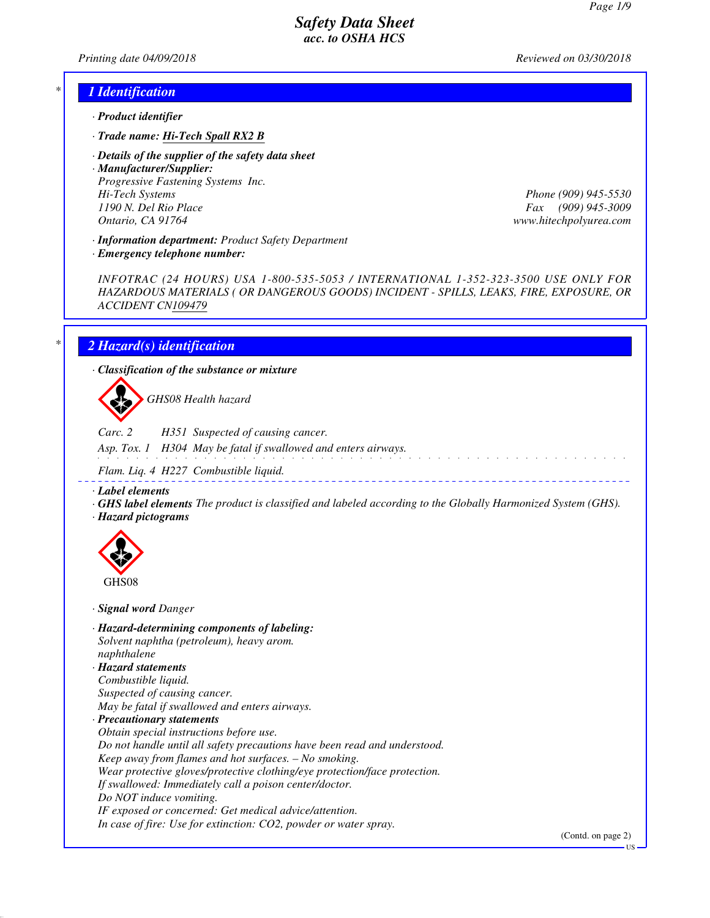*Printing date 04/09/2018 Reviewed on 03/30/2018*

#### *\* 1 Identification*

- *· Product identifier*
- *· Trade name: Hi-Tech Spall RX2 B*
- *· Details of the supplier of the safety data sheet*

*· Manufacturer/Supplier: Progressive Fastening Systems Inc. Hi-Tech Systems Phone (909) 945-5530 1190 N. Del Rio Place Fax (909) 945-3009 Ontario, CA 91764 www.hitechpolyurea.com*

*· Information department: Product Safety Department*

*· Emergency telephone number:*

*INFOTRAC (24 HOURS) USA 1-800-535-5053 / INTERNATIONAL 1-352-323-3500 USE ONLY FOR HAZARDOUS MATERIALS ( OR DANGEROUS GOODS) INCIDENT - SPILLS, LEAKS, FIRE, EXPOSURE, OR ACCIDENT CN109479*

## *\* 2 Hazard(s) identification*

*· Classification of the substance or mixture*

d~*GHS08 Health hazard*

*Carc. 2 H351 Suspected of causing cancer.*

*Asp. Tox. 1 H304 May be fatal if swallowed and enters airways.*

*Flam. Liq. 4 H227 Combustible liquid.*

*· Label elements*

*· GHS label elements The product is classified and labeled according to the Globally Harmonized System (GHS). · Hazard pictograms*



*· Signal word Danger*

*· Hazard-determining components of labeling: Solvent naphtha (petroleum), heavy arom. naphthalene · Hazard statements Combustible liquid. Suspected of causing cancer. May be fatal if swallowed and enters airways. · Precautionary statements Obtain special instructions before use. Do not handle until all safety precautions have been read and understood. Keep away from flames and hot surfaces. – No smoking. Wear protective gloves/protective clothing/eye protection/face protection. If swallowed: Immediately call a poison center/doctor. Do NOT induce vomiting. IF exposed or concerned: Get medical advice/attention. In case of fire: Use for extinction: CO2, powder or water spray.*

(Contd. on page 2)

US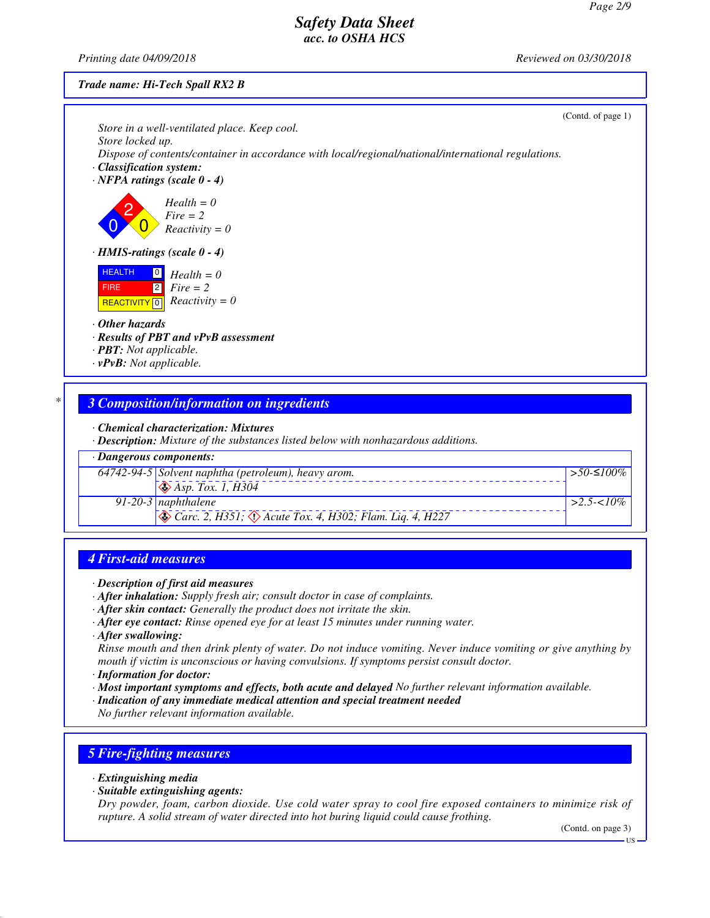*Printing date 04/09/2018 Reviewed on 03/30/2018*

#### *Trade name: Hi-Tech Spall RX2 B*

|                                                                                                                                                                                           | (Contd. of page 1) |
|-------------------------------------------------------------------------------------------------------------------------------------------------------------------------------------------|--------------------|
| Store in a well-ventilated place. Keep cool.                                                                                                                                              |                    |
| Store locked up.<br>Dispose of contents/container in accordance with local/regional/national/international regulations.<br>· Classification system:<br>$\cdot$ NFPA ratings (scale 0 - 4) |                    |
| $Health = 0$<br>$Fire = 2$<br>$Reactivity = 0$                                                                                                                                            |                    |
| $\cdot$ HMIS-ratings (scale 0 - 4)                                                                                                                                                        |                    |
| <b>HEALTH</b><br>$\boxed{0}$<br>$Health = 0$<br>$\boxed{2}$<br>$Fire = 2$<br><b>FIRE</b><br>$Reactivity = 0$<br><b>REACTIVITY</b> 0                                                       |                    |
| $\cdot$ Other hazards                                                                                                                                                                     |                    |
| · Results of PBT and vPvB assessment<br>· PBT: Not applicable.                                                                                                                            |                    |
| $\cdot v$ PvB: Not applicable.                                                                                                                                                            |                    |
|                                                                                                                                                                                           |                    |
| <b>3 Composition/information on ingredients</b>                                                                                                                                           |                    |
| • Chemical characterization: Mixtures<br>· Description: Mixture of the substances listed below with nonhazardous additions.                                                               |                    |

*· Dangerous components: 64742-94-5 Solvent naphtha (petroleum), heavy arom.* d~ *Asp. Tox. 1, H304 >50-*≤*100% 91-20-3 naphthalene* d~ *Carc. 2, H351;* d~ *Acute Tox. 4, H302; Flam. Liq. 4, H227 >2.5-<10%*

#### *4 First-aid measures*

- *· Description of first aid measures*
- *· After inhalation: Supply fresh air; consult doctor in case of complaints.*
- *· After skin contact: Generally the product does not irritate the skin.*
- *· After eye contact: Rinse opened eye for at least 15 minutes under running water.*
- *· After swallowing:*

*Rinse mouth and then drink plenty of water. Do not induce vomiting. Never induce vomiting or give anything by mouth if victim is unconscious or having convulsions. If symptoms persist consult doctor.*

- *· Information for doctor:*
- *· Most important symptoms and effects, both acute and delayed No further relevant information available.*
- *· Indication of any immediate medical attention and special treatment needed*

*No further relevant information available.*

## *5 Fire-fighting measures*

- *· Extinguishing media*
- *· Suitable extinguishing agents:*

*Dry powder, foam, carbon dioxide. Use cold water spray to cool fire exposed containers to minimize risk of rupture. A solid stream of water directed into hot buring liquid could cause frothing.*

(Contd. on page 3)

 $-US$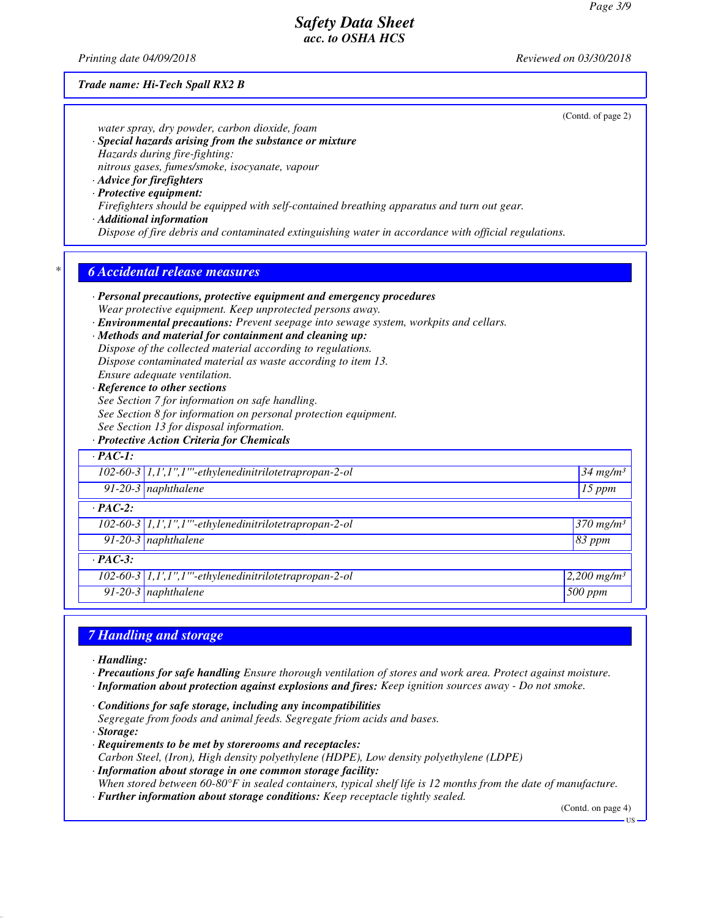*Printing date 04/09/2018 Reviewed on 03/30/2018*

#### *Trade name: Hi-Tech Spall RX2 B*

(Contd. of page 2) *water spray, dry powder, carbon dioxide, foam · Special hazards arising from the substance or mixture Hazards during fire-fighting: nitrous gases, fumes/smoke, isocyanate, vapour · Advice for firefighters · Protective equipment: Firefighters should be equipped with self-contained breathing apparatus and turn out gear. · Additional information Dispose of fire debris and contaminated extinguishing water in accordance with official regulations. \* 6 Accidental release measures · Personal precautions, protective equipment and emergency procedures Wear protective equipment. Keep unprotected persons away. · Environmental precautions: Prevent seepage into sewage system, workpits and cellars. · Methods and material for containment and cleaning up: Dispose of the collected material according to regulations. Dispose contaminated material as waste according to item 13. Ensure adequate ventilation. · Reference to other sections See Section 7 for information on safe handling. See Section 8 for information on personal protection equipment. See Section 13 for disposal information. · Protective Action Criteria for Chemicals · PAC-1: 102-60-3 1,1',1'',1'''-ethylenedinitrilotetrapropan-2-ol 34 mg/m³ 91-20-3 naphthalene 15 ppm · PAC-2: 102-60-3 1,1',1'',1'''-ethylenedinitrilotetrapropan-2-ol 370 mg/m³ 91-20-3 naphthalene 83 ppm · PAC-3: 102-60-3 1,1',1'',1'''-ethylenedinitrilotetrapropan-2-ol 2,200 mg/m³ 91-20-3 naphthalene 500 ppm*

#### *7 Handling and storage*

*· Handling:*

- *· Precautions for safe handling Ensure thorough ventilation of stores and work area. Protect against moisture.*
- *· Information about protection against explosions and fires: Keep ignition sources away Do not smoke.*
- *· Conditions for safe storage, including any incompatibilities*
- *Segregate from foods and animal feeds. Segregate friom acids and bases.*
- *· Storage:*
- *· Requirements to be met by storerooms and receptacles: Carbon Steel, (Iron), High density polyethylene (HDPE), Low density polyethylene (LDPE) · Information about storage in one common storage facility:*
- *When stored between 60-80°F in sealed containers, typical shelf life is 12 months from the date of manufacture. · Further information about storage conditions: Keep receptacle tightly sealed.*

(Contd. on page 4)

US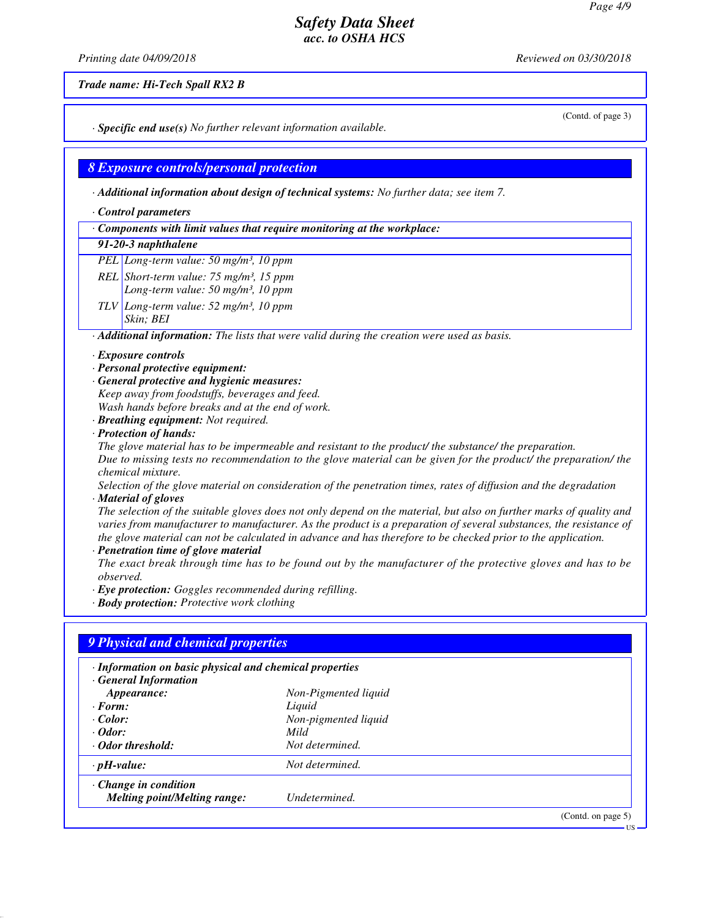*Printing date 04/09/2018 Reviewed on 03/30/2018*

*Trade name: Hi-Tech Spall RX2 B*

*· Specific end use(s) No further relevant information available.*

#### *8 Exposure controls/personal protection*

*· Additional information about design of technical systems: No further data; see item 7.*

- *· Control parameters*
- *· Components with limit values that require monitoring at the workplace:*

#### *91-20-3 naphthalene*

*PEL Long-term value: 50 mg/m³, 10 ppm*

- *REL Short-term value: 75 mg/m³, 15 ppm*
	- *Long-term value: 50 mg/m³, 10 ppm*

*TLV Long-term value: 52 mg/m³, 10 ppm*

#### *Skin; BEI*

*· Additional information: The lists that were valid during the creation were used as basis.*

#### *· Exposure controls*

- *· Personal protective equipment:*
- *· General protective and hygienic measures:*

*Keep away from foodstuffs, beverages and feed. Wash hands before breaks and at the end of work.*

- *· Breathing equipment: Not required.*
- *· Protection of hands:*

*The glove material has to be impermeable and resistant to the product/ the substance/ the preparation. Due to missing tests no recommendation to the glove material can be given for the product/ the preparation/ the chemical mixture.*

*Selection of the glove material on consideration of the penetration times, rates of diffusion and the degradation · Material of gloves*

*The selection of the suitable gloves does not only depend on the material, but also on further marks of quality and varies from manufacturer to manufacturer. As the product is a preparation of several substances, the resistance of the glove material can not be calculated in advance and has therefore to be checked prior to the application.*

*· Penetration time of glove material*

*The exact break through time has to be found out by the manufacturer of the protective gloves and has to be observed.*

- *· Eye protection: Goggles recommended during refilling.*
- *· Body protection: Protective work clothing*

| · Information on basic physical and chemical properties |                      |  |
|---------------------------------------------------------|----------------------|--|
| <b>General Information</b>                              |                      |  |
| Appearance:                                             | Non-Pigmented liquid |  |
| $\cdot$ Form:                                           | Liquid               |  |
| $\cdot$ Color:                                          | Non-pigmented liquid |  |
| $\cdot$ Odor:                                           | Mild                 |  |
| Odor threshold:                                         | Not determined.      |  |
| $\cdot$ pH-value:                                       | Not determined.      |  |
| $\cdot$ Change in condition                             |                      |  |
| <b>Melting point/Melting range:</b>                     | Undetermined.        |  |

(Contd. of page 3)

US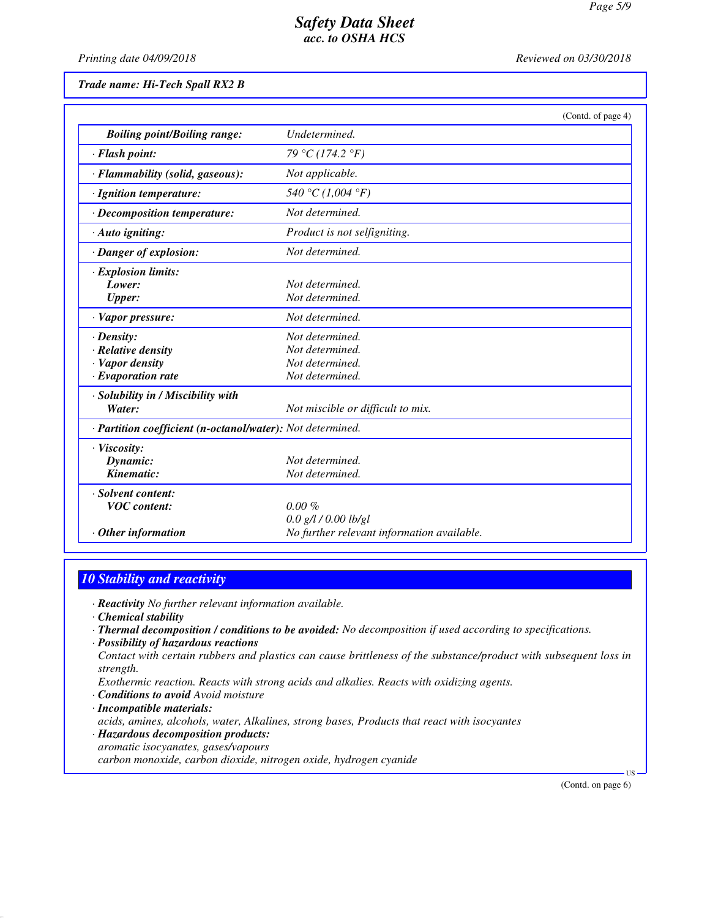*Printing date 04/09/2018 Reviewed on 03/30/2018*

*Trade name: Hi-Tech Spall RX2 B*

|                                                            | (Contd. of page 4)                         |
|------------------------------------------------------------|--------------------------------------------|
| <b>Boiling point/Boiling range:</b>                        | Undetermined.                              |
| · Flash point:                                             | 79 °C (174.2 °F)                           |
| · Flammability (solid, gaseous):                           | Not applicable.                            |
| · Ignition temperature:                                    | 540 °C (1,004 °F)                          |
| · Decomposition temperature:                               | Not determined.                            |
| · Auto igniting:                                           | Product is not selfigniting.               |
| · Danger of explosion:                                     | Not determined.                            |
| · Explosion limits:                                        |                                            |
| Lower:                                                     | Not determined.                            |
| <b>Upper:</b>                                              | Not determined.                            |
| · Vapor pressure:                                          | Not determined.                            |
| $\cdot$ Density:                                           | Not determined.                            |
| $\cdot$ Relative density                                   | Not determined.                            |
| · Vapor density                                            | Not determined.                            |
| $\cdot$ Evaporation rate                                   | Not determined.                            |
| · Solubility in / Miscibility with                         |                                            |
| Water:                                                     | Not miscible or difficult to mix.          |
| · Partition coefficient (n-octanol/water): Not determined. |                                            |
| · Viscosity:                                               |                                            |
| Dynamic:                                                   | Not determined.                            |
| Kinematic:                                                 | Not determined.                            |
| · Solvent content:                                         |                                            |
| <b>VOC</b> content:                                        | $0.00 \%$                                  |
|                                                            | $0.0$ g/l $/0.00$ lb/gl                    |
| $\cdot$ Other information                                  | No further relevant information available. |

# *10 Stability and reactivity*

*· Reactivity No further relevant information available.*

- *· Chemical stability*
- *· Thermal decomposition / conditions to be avoided: No decomposition if used according to specifications.*
- *· Possibility of hazardous reactions*
- *Contact with certain rubbers and plastics can cause brittleness of the substance/product with subsequent loss in strength.*

*Exothermic reaction. Reacts with strong acids and alkalies. Reacts with oxidizing agents.*

- *· Conditions to avoid Avoid moisture*
- *· Incompatible materials:*
- *acids, amines, alcohols, water, Alkalines, strong bases, Products that react with isocyantes*
- *· Hazardous decomposition products: aromatic isocyanates, gases/vapours carbon monoxide, carbon dioxide, nitrogen oxide, hydrogen cyanide*

(Contd. on page 6)

US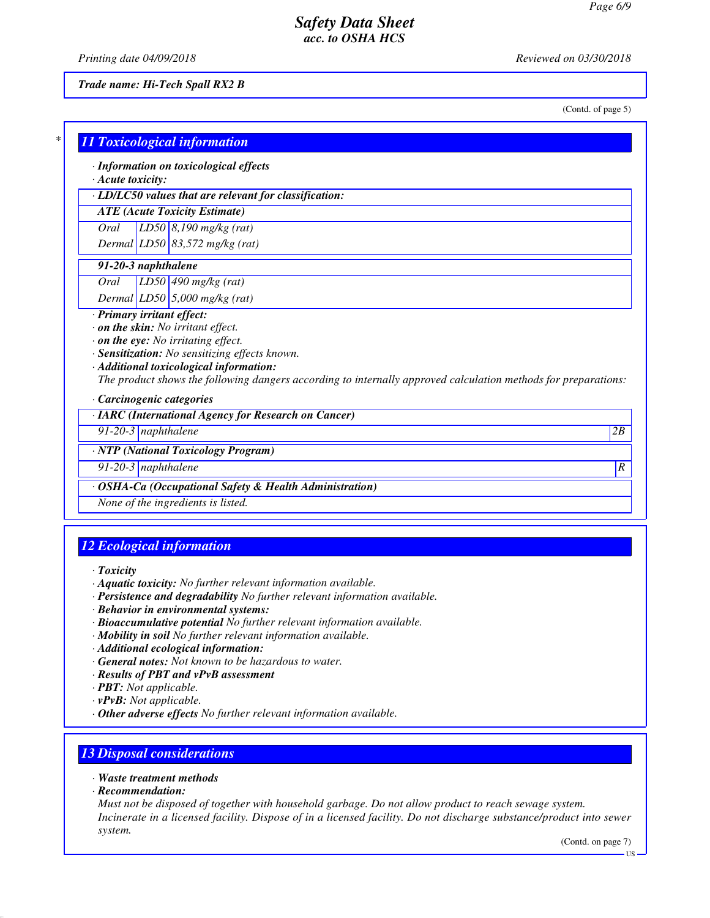*Printing date 04/09/2018 Reviewed on 03/30/2018*

#### *Trade name: Hi-Tech Spall RX2 B*

(Contd. of page 5)

| $*1$ |                                     |  |  |
|------|-------------------------------------|--|--|
|      | <b>11 Toxicological information</b> |  |  |

*· Information on toxicological effects*

*· Acute toxicity:*

*· LD/LC50 values that are relevant for classification:*

*ATE (Acute Toxicity Estimate)*

*Oral LD50 8,190 mg/kg (rat) Dermal LD50 83,572 mg/kg (rat)*

#### *91-20-3 naphthalene*

*Oral LD50 490 mg/kg (rat) Dermal LD50 5,000 mg/kg (rat)*

# *· Primary irritant effect:*

*· on the skin: No irritant effect.*

*· on the eye: No irritating effect.*

*· Sensitization: No sensitizing effects known.*

*· Additional toxicological information:*

*The product shows the following dangers according to internally approved calculation methods for preparations:*

*· Carcinogenic categories*

*· IARC (International Agency for Research on Cancer)*

*91-20-3 naphthalene 2B*

*· NTP (National Toxicology Program)*

*91-20-3 naphthalene R* 

*· OSHA-Ca (Occupational Safety & Health Administration)*

*None of the ingredients is listed.*

# *12 Ecological information*

*· Toxicity*

- *· Aquatic toxicity: No further relevant information available.*
- *· Persistence and degradability No further relevant information available.*
- *· Behavior in environmental systems:*
- *· Bioaccumulative potential No further relevant information available.*
- *· Mobility in soil No further relevant information available.*
- *· Additional ecological information:*
- *· General notes: Not known to be hazardous to water.*
- *· Results of PBT and vPvB assessment*
- *· PBT: Not applicable.*

*· vPvB: Not applicable.*

*· Other adverse effects No further relevant information available.*

## *13 Disposal considerations*

*· Waste treatment methods*

*· Recommendation:*

*Must not be disposed of together with household garbage. Do not allow product to reach sewage system. Incinerate in a licensed facility. Dispose of in a licensed facility. Do not discharge substance/product into sewer system.*

(Contd. on page 7)

US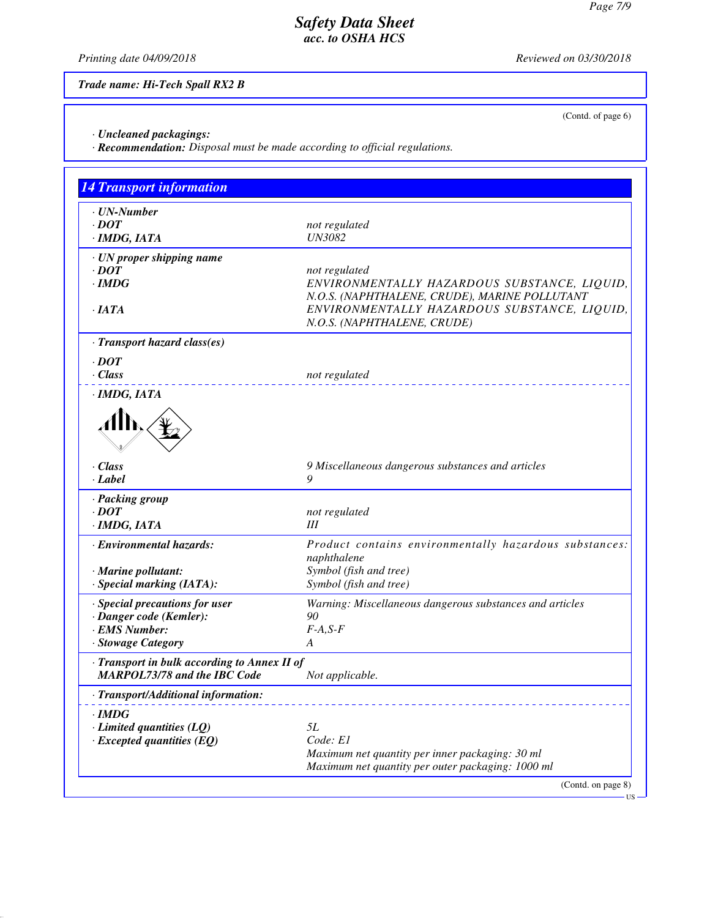*Printing date 04/09/2018 Reviewed on 03/30/2018*

(Contd. of page 6)

*Trade name: Hi-Tech Spall RX2 B*

*· Uncleaned packagings:*

*· Recommendation: Disposal must be made according to official regulations.*

| ENVIRONMENTALLY HAZARDOUS SUBSTANCE, LIQUID,<br>N.O.S. (NAPHTHALENE, CRUDE), MARINE POLLUTANT |
|-----------------------------------------------------------------------------------------------|
| ENVIRONMENTALLY HAZARDOUS SUBSTANCE, LIQUID,<br>N.O.S. (NAPHTHALENE, CRUDE)                   |
|                                                                                               |
|                                                                                               |
|                                                                                               |
|                                                                                               |
|                                                                                               |
| 9 Miscellaneous dangerous substances and articles                                             |
|                                                                                               |
|                                                                                               |
|                                                                                               |
| Product contains environmentally hazardous substances:                                        |
|                                                                                               |
|                                                                                               |
| Warning: Miscellaneous dangerous substances and articles                                      |
|                                                                                               |
|                                                                                               |
|                                                                                               |
|                                                                                               |
|                                                                                               |
|                                                                                               |
|                                                                                               |
|                                                                                               |
|                                                                                               |
| Maximum net quantity per inner packaging: 30 ml                                               |
| Maximum net quantity per outer packaging: 1000 ml                                             |
|                                                                                               |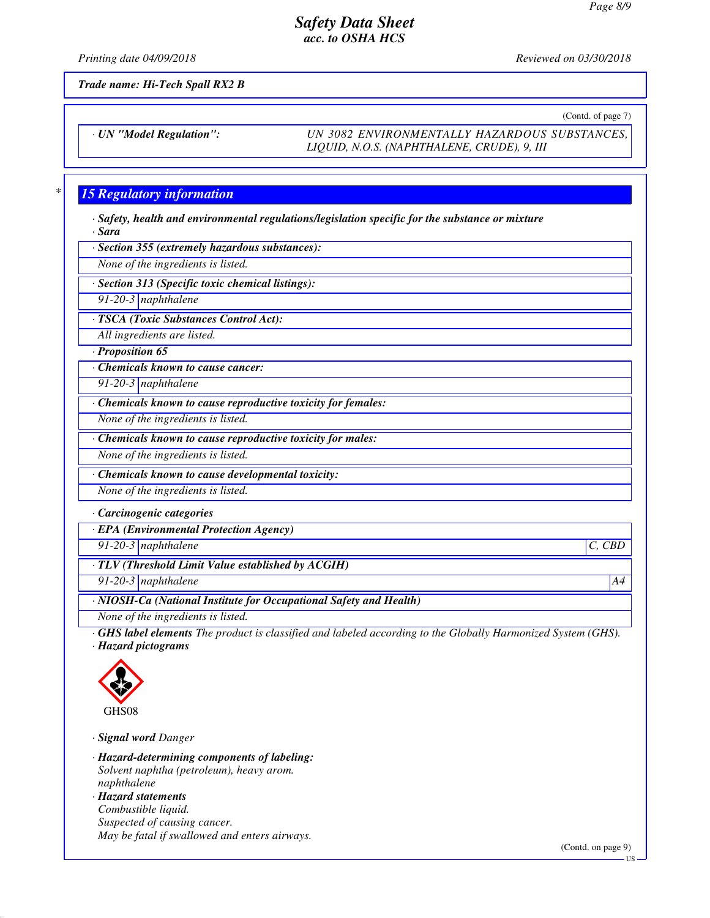*Printing date 04/09/2018 Reviewed on 03/30/2018*

*Trade name: Hi-Tech Spall RX2 B*

(Contd. of page 7)

*· UN "Model Regulation": UN 3082 ENVIRONMENTALLY HAZARDOUS SUBSTANCES, LIQUID, N.O.S. (NAPHTHALENE, CRUDE), 9, III*

## *\* 15 Regulatory information*

*· Safety, health and environmental regulations/legislation specific for the substance or mixture · Sara*

*· Section 355 (extremely hazardous substances):*

*None of the ingredients is listed.*

*· Section 313 (Specific toxic chemical listings):*

*91-20-3 naphthalene*

*· TSCA (Toxic Substances Control Act):*

*All ingredients are listed.*

*· Proposition 65*

*· Chemicals known to cause cancer:*

*91-20-3 naphthalene*

*· Chemicals known to cause reproductive toxicity for females:*

*None of the ingredients is listed.*

*· Chemicals known to cause reproductive toxicity for males:*

*None of the ingredients is listed.*

*· Chemicals known to cause developmental toxicity:*

*None of the ingredients is listed.*

*· Carcinogenic categories*

*· EPA (Environmental Protection Agency)*

*91-20-3 naphthalene C, CBD*

*· TLV (Threshold Limit Value established by ACGIH)*

*91-20-3 naphthalene A4*

*· NIOSH-Ca (National Institute for Occupational Safety and Health)*

*None of the ingredients is listed.*

*· GHS label elements The product is classified and labeled according to the Globally Harmonized System (GHS). · Hazard pictograms*



*· Signal word Danger*

*· Hazard-determining components of labeling: Solvent naphtha (petroleum), heavy arom. naphthalene*

*· Hazard statements Combustible liquid. Suspected of causing cancer. May be fatal if swallowed and enters airways.*

(Contd. on page 9)

US